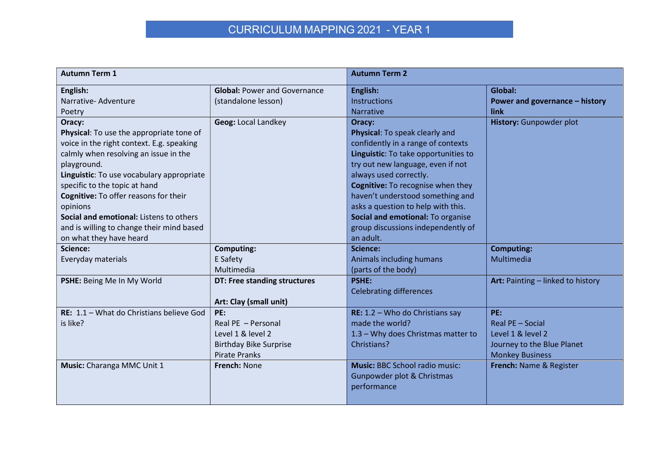## CURRICULUM MAPPING 2021 - YEAR 1

| <b>Autumn Term 1</b>                      |                                     | <b>Autumn Term 2</b>                  |                                   |
|-------------------------------------------|-------------------------------------|---------------------------------------|-----------------------------------|
| English:                                  | <b>Global: Power and Governance</b> | English:                              | Global:                           |
| Narrative-Adventure                       | (standalone lesson)                 | <b>Instructions</b>                   | Power and governance - history    |
| Poetry                                    |                                     | <b>Narrative</b>                      | link                              |
| Oracy:                                    | <b>Geog: Local Landkey</b>          | Oracy:                                | History: Gunpowder plot           |
| Physical: To use the appropriate tone of  |                                     | Physical: To speak clearly and        |                                   |
| voice in the right context. E.g. speaking |                                     | confidently in a range of contexts    |                                   |
| calmly when resolving an issue in the     |                                     | Linguistic: To take opportunities to  |                                   |
| playground.                               |                                     | try out new language, even if not     |                                   |
| Linguistic: To use vocabulary appropriate |                                     | always used correctly.                |                                   |
| specific to the topic at hand             |                                     | Cognitive: To recognise when they     |                                   |
| Cognitive: To offer reasons for their     |                                     | haven't understood something and      |                                   |
| opinions                                  |                                     | asks a question to help with this.    |                                   |
| Social and emotional: Listens to others   |                                     | Social and emotional: To organise     |                                   |
| and is willing to change their mind based |                                     | group discussions independently of    |                                   |
| on what they have heard                   |                                     | an adult.                             |                                   |
| Science:                                  | <b>Computing:</b>                   | Science:                              | <b>Computing:</b>                 |
| Everyday materials                        | E Safety                            | Animals including humans              | Multimedia                        |
|                                           | Multimedia                          | (parts of the body)                   |                                   |
| PSHE: Being Me In My World                | DT: Free standing structures        | <b>PSHE:</b>                          | Art: Painting - linked to history |
|                                           |                                     | <b>Celebrating differences</b>        |                                   |
|                                           | Art: Clay (small unit)              |                                       |                                   |
| RE: 1.1 - What do Christians believe God  | PE:                                 | RE: $1.2 -$ Who do Christians say     | PE:                               |
| is like?                                  | Real PE - Personal                  | made the world?                       | Real PE - Social                  |
|                                           | Level 1 & level 2                   | 1.3 - Why does Christmas matter to    | Level 1 & level 2                 |
|                                           | <b>Birthday Bike Surprise</b>       | Christians?                           | Journey to the Blue Planet        |
|                                           | <b>Pirate Pranks</b>                |                                       | <b>Monkey Business</b>            |
| Music: Charanga MMC Unit 1                | French: None                        | <b>Music: BBC School radio music:</b> | French: Name & Register           |
|                                           |                                     | Gunpowder plot & Christmas            |                                   |
|                                           |                                     | performance                           |                                   |
|                                           |                                     |                                       |                                   |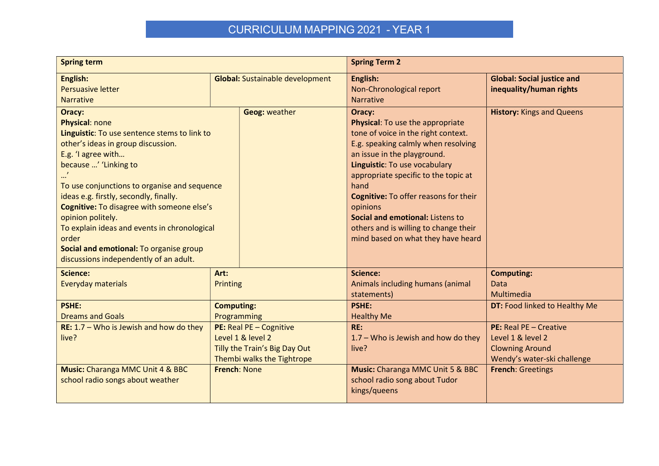## CURRICULUM MAPPING 2021 - YEAR 1

| <b>Spring term</b>                                                                                                                                                                                                                                                                                                                                                                                                                                                              |                                                                                                             | <b>Spring Term 2</b>                   |                                                                                                                                                                                                                                                                                                                                                                                                                  |                                                                                                      |
|---------------------------------------------------------------------------------------------------------------------------------------------------------------------------------------------------------------------------------------------------------------------------------------------------------------------------------------------------------------------------------------------------------------------------------------------------------------------------------|-------------------------------------------------------------------------------------------------------------|----------------------------------------|------------------------------------------------------------------------------------------------------------------------------------------------------------------------------------------------------------------------------------------------------------------------------------------------------------------------------------------------------------------------------------------------------------------|------------------------------------------------------------------------------------------------------|
| English:<br><b>Persuasive letter</b><br><b>Narrative</b>                                                                                                                                                                                                                                                                                                                                                                                                                        |                                                                                                             | <b>Global:</b> Sustainable development | English:<br>Non-Chronological report<br><b>Narrative</b>                                                                                                                                                                                                                                                                                                                                                         | <b>Global: Social justice and</b><br>inequality/human rights                                         |
| Oracy:<br><b>Physical: none</b><br>Linguistic: To use sentence stems to link to<br>other's ideas in group discussion.<br>E.g. 'I agree with<br>because ' 'Linking to<br>To use conjunctions to organise and sequence<br>ideas e.g. firstly, secondly, finally.<br>Cognitive: To disagree with someone else's<br>opinion politely.<br>To explain ideas and events in chronological<br>order<br>Social and emotional: To organise group<br>discussions independently of an adult. |                                                                                                             | <b>Geog: weather</b>                   | Oracy:<br>Physical: To use the appropriate<br>tone of voice in the right context.<br>E.g. speaking calmly when resolving<br>an issue in the playground.<br>Linguistic: To use vocabulary<br>appropriate specific to the topic at<br>hand<br>Cognitive: To offer reasons for their<br>opinions<br>Social and emotional: Listens to<br>others and is willing to change their<br>mind based on what they have heard | <b>History: Kings and Queens</b>                                                                     |
| <b>Science:</b><br>Everyday materials                                                                                                                                                                                                                                                                                                                                                                                                                                           | Art:<br>Printing                                                                                            |                                        | <b>Science:</b><br>Animals including humans (animal<br>statements)                                                                                                                                                                                                                                                                                                                                               | <b>Computing:</b><br>Data<br>Multimedia                                                              |
| <b>PSHE:</b><br><b>Dreams and Goals</b>                                                                                                                                                                                                                                                                                                                                                                                                                                         | <b>Computing:</b><br>Programming                                                                            |                                        | <b>PSHE:</b><br><b>Healthy Me</b>                                                                                                                                                                                                                                                                                                                                                                                | DT: Food linked to Healthy Me                                                                        |
| RE: 1.7 - Who is Jewish and how do they<br>live?                                                                                                                                                                                                                                                                                                                                                                                                                                | PE: Real PE - Cognitive<br>Level 1 & level 2<br>Tilly the Train's Big Day Out<br>Thembi walks the Tightrope |                                        | RE:<br>$1.7 -$ Who is Jewish and how do they<br>live?                                                                                                                                                                                                                                                                                                                                                            | PE: Real PE - Creative<br>Level 1 & level 2<br><b>Clowning Around</b><br>Wendy's water-ski challenge |
| Music: Charanga MMC Unit 4 & BBC<br>school radio songs about weather                                                                                                                                                                                                                                                                                                                                                                                                            | French: None                                                                                                |                                        | <b>Music:</b> Charanga MMC Unit 5 & BBC<br>school radio song about Tudor<br>kings/queens                                                                                                                                                                                                                                                                                                                         | <b>French: Greetings</b>                                                                             |